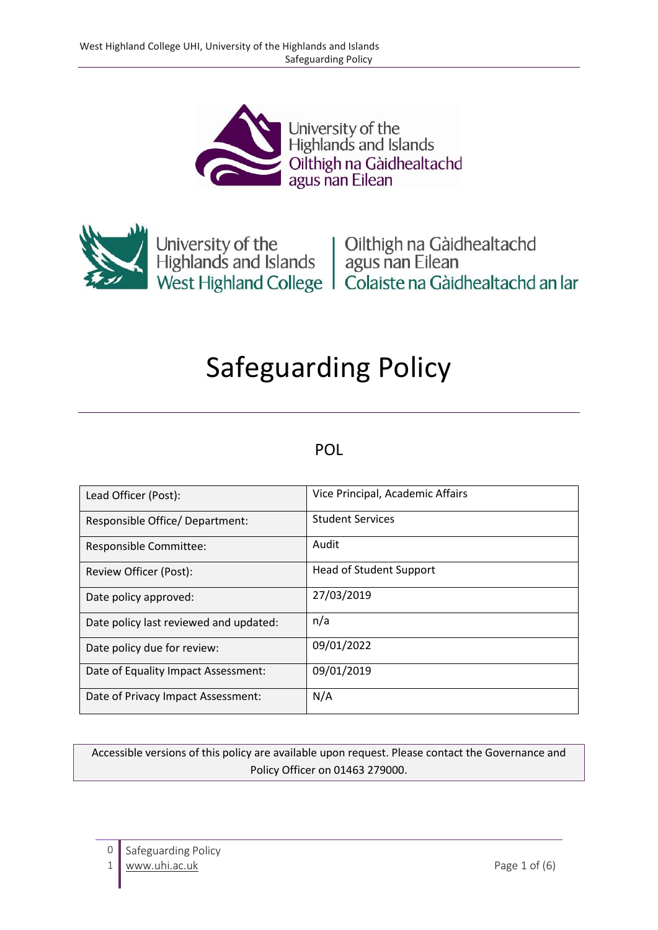



University of the University of the University of the Highlands and Islands agus nan Eilean<br>
West Highland College | Colaiste na Gàidhealtachd an Iar

# Safeguarding Policy

#### POL

| Lead Officer (Post):                   | Vice Principal, Academic Affairs |
|----------------------------------------|----------------------------------|
| Responsible Office/ Department:        | <b>Student Services</b>          |
| Responsible Committee:                 | Audit                            |
| Review Officer (Post):                 | <b>Head of Student Support</b>   |
| Date policy approved:                  | 27/03/2019                       |
| Date policy last reviewed and updated: | n/a                              |
| Date policy due for review:            | 09/01/2022                       |
| Date of Equality Impact Assessment:    | 09/01/2019                       |
| Date of Privacy Impact Assessment:     | N/A                              |

Accessible versions of this policy are available upon request. Please contact the Governance and Policy Officer on 01463 279000.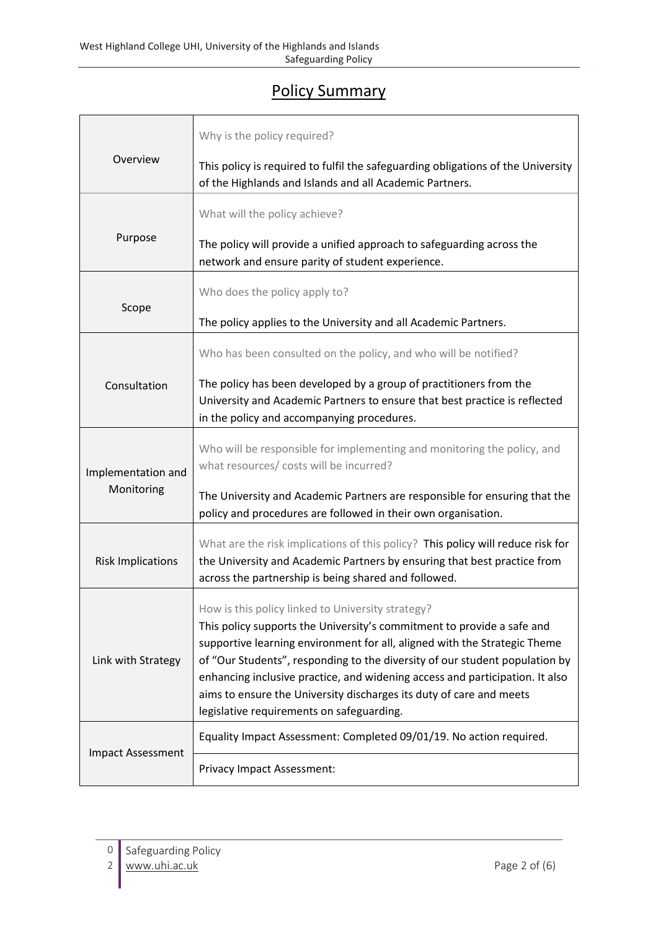# Policy Summary

|                                  | Why is the policy required?                                                                                                                                                                                                                                                                                                                                                                                                                                                                 |  |  |
|----------------------------------|---------------------------------------------------------------------------------------------------------------------------------------------------------------------------------------------------------------------------------------------------------------------------------------------------------------------------------------------------------------------------------------------------------------------------------------------------------------------------------------------|--|--|
| Overview                         | This policy is required to fulfil the safeguarding obligations of the University<br>of the Highlands and Islands and all Academic Partners.                                                                                                                                                                                                                                                                                                                                                 |  |  |
|                                  | What will the policy achieve?                                                                                                                                                                                                                                                                                                                                                                                                                                                               |  |  |
| Purpose                          | The policy will provide a unified approach to safeguarding across the<br>network and ensure parity of student experience.                                                                                                                                                                                                                                                                                                                                                                   |  |  |
| Scope                            | Who does the policy apply to?                                                                                                                                                                                                                                                                                                                                                                                                                                                               |  |  |
|                                  | The policy applies to the University and all Academic Partners.                                                                                                                                                                                                                                                                                                                                                                                                                             |  |  |
|                                  | Who has been consulted on the policy, and who will be notified?                                                                                                                                                                                                                                                                                                                                                                                                                             |  |  |
| Consultation                     | The policy has been developed by a group of practitioners from the<br>University and Academic Partners to ensure that best practice is reflected<br>in the policy and accompanying procedures.                                                                                                                                                                                                                                                                                              |  |  |
| Implementation and<br>Monitoring | Who will be responsible for implementing and monitoring the policy, and<br>what resources/ costs will be incurred?                                                                                                                                                                                                                                                                                                                                                                          |  |  |
|                                  | The University and Academic Partners are responsible for ensuring that the<br>policy and procedures are followed in their own organisation.                                                                                                                                                                                                                                                                                                                                                 |  |  |
| <b>Risk Implications</b>         | What are the risk implications of this policy? This policy will reduce risk for<br>the University and Academic Partners by ensuring that best practice from<br>across the partnership is being shared and followed.                                                                                                                                                                                                                                                                         |  |  |
| Link with Strategy               | How is this policy linked to University strategy?<br>This policy supports the University's commitment to provide a safe and<br>supportive learning environment for all, aligned with the Strategic Theme<br>of "Our Students", responding to the diversity of our student population by<br>enhancing inclusive practice, and widening access and participation. It also<br>aims to ensure the University discharges its duty of care and meets<br>legislative requirements on safeguarding. |  |  |
| <b>Impact Assessment</b>         | Equality Impact Assessment: Completed 09/01/19. No action required.                                                                                                                                                                                                                                                                                                                                                                                                                         |  |  |
|                                  | Privacy Impact Assessment:                                                                                                                                                                                                                                                                                                                                                                                                                                                                  |  |  |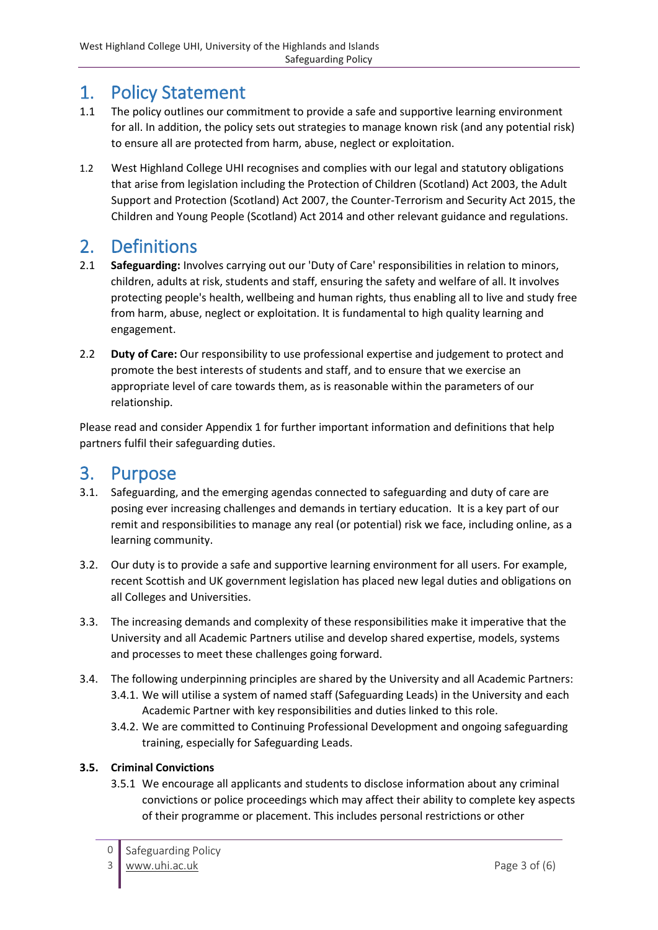# 1. Policy Statement

- 1.1 The policy outlines our commitment to provide a safe and supportive learning environment for all. In addition, the policy sets out strategies to manage known risk (and any potential risk) to ensure all are protected from harm, abuse, neglect or exploitation.
- 1.2 West Highland College UHI recognises and complies with our legal and statutory obligations that arise from legislation including the Protection of Children (Scotland) Act 2003, the Adult Support and Protection (Scotland) Act 2007, the Counter-Terrorism and Security Act 2015, the Children and Young People (Scotland) Act 2014 and other relevant guidance and regulations.

# 2. Definitions

- 2.1 **Safeguarding:** Involves carrying out our 'Duty of Care' responsibilities in relation to minors, children, adults at risk, students and staff, ensuring the safety and welfare of all. It involves protecting people's health, wellbeing and human rights, thus enabling all to live and study free from harm, abuse, neglect or exploitation. It is fundamental to high quality learning and engagement.
- 2.2 **Duty of Care:** Our responsibility to use professional expertise and judgement to protect and promote the best interests of students and staff, and to ensure that we exercise an appropriate level of care towards them, as is reasonable within the parameters of our relationship.

Please read and consider Appendix 1 for further important information and definitions that help partners fulfil their safeguarding duties.

#### 3. Purpose

- 3.1. Safeguarding, and the emerging agendas connected to safeguarding and duty of care are posing ever increasing challenges and demands in tertiary education. It is a key part of our remit and responsibilities to manage any real (or potential) risk we face, including online, as a learning community.
- 3.2. Our duty is to provide a safe and supportive learning environment for all users. For example, recent Scottish and UK government legislation has placed new legal duties and obligations on all Colleges and Universities.
- 3.3. The increasing demands and complexity of these responsibilities make it imperative that the University and all Academic Partners utilise and develop shared expertise, models, systems and processes to meet these challenges going forward.
- 3.4. The following underpinning principles are shared by the University and all Academic Partners: 3.4.1. We will utilise a system of named staff (Safeguarding Leads) in the University and each Academic Partner with key responsibilities and duties linked to this role.
	- 3.4.2. We are committed to Continuing Professional Development and ongoing safeguarding training, especially for Safeguarding Leads.

#### **3.5. Criminal Convictions**

3.5.1 We encourage all applicants and students to disclose information about any criminal convictions or police proceedings which may affect their ability to complete key aspects of their programme or placement. This includes personal restrictions or other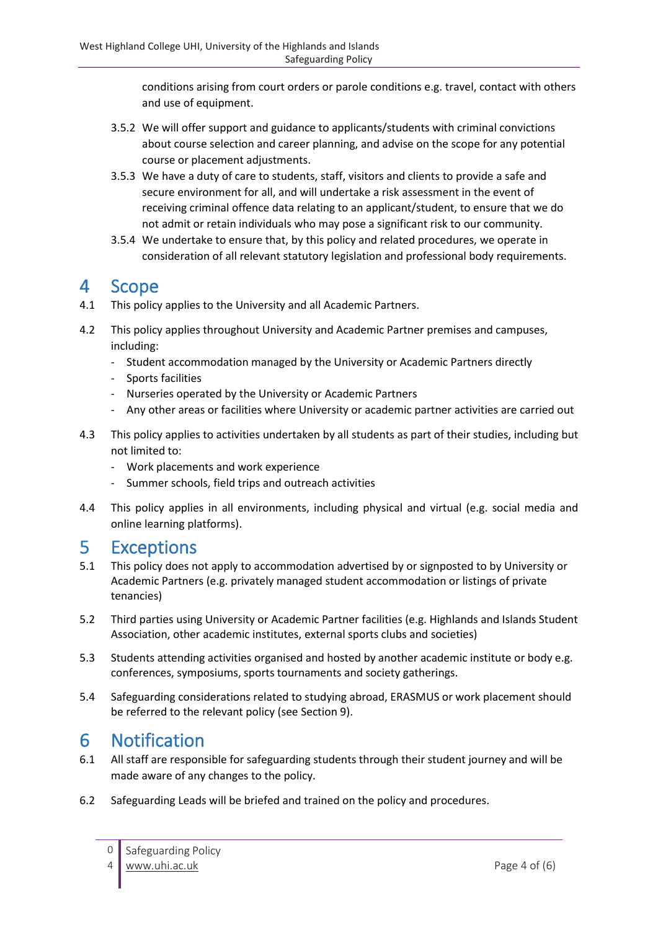conditions arising from court orders or parole conditions e.g. travel, contact with others and use of equipment.

- 3.5.2 We will offer support and guidance to applicants/students with criminal convictions about course selection and career planning, and advise on the scope for any potential course or placement adjustments.
- 3.5.3 We have a duty of care to students, staff, visitors and clients to provide a safe and secure environment for all, and will undertake a risk assessment in the event of receiving criminal offence data relating to an applicant/student, to ensure that we do not admit or retain individuals who may pose a significant risk to our community.
- 3.5.4 We undertake to ensure that, by this policy and related procedures, we operate in consideration of all relevant statutory legislation and professional body requirements.

#### 4 Scope

- 4.1 This policy applies to the University and all Academic Partners.
- 4.2 This policy applies throughout University and Academic Partner premises and campuses, including:
	- Student accommodation managed by the University or Academic Partners directly
	- Sports facilities
	- Nurseries operated by the University or Academic Partners
	- Any other areas or facilities where University or academic partner activities are carried out
- 4.3 This policy applies to activities undertaken by all students as part of their studies, including but not limited to:
	- Work placements and work experience
	- Summer schools, field trips and outreach activities
- 4.4 This policy applies in all environments, including physical and virtual (e.g. social media and online learning platforms).

### 5 Exceptions

- 5.1 This policy does not apply to accommodation advertised by or signposted to by University or Academic Partners (e.g. privately managed student accommodation or listings of private tenancies)
- 5.2 Third parties using University or Academic Partner facilities (e.g. Highlands and Islands Student Association, other academic institutes, external sports clubs and societies)
- 5.3 Students attending activities organised and hosted by another academic institute or body e.g. conferences, symposiums, sports tournaments and society gatherings.
- 5.4 Safeguarding considerations related to studying abroad, ERASMUS or work placement should be referred to the relevant policy (see Section 9).

### 6 Notification

- 6.1 All staff are responsible for safeguarding students through their student journey and will be made aware of any changes to the policy.
- 6.2 Safeguarding Leads will be briefed and trained on the policy and procedures.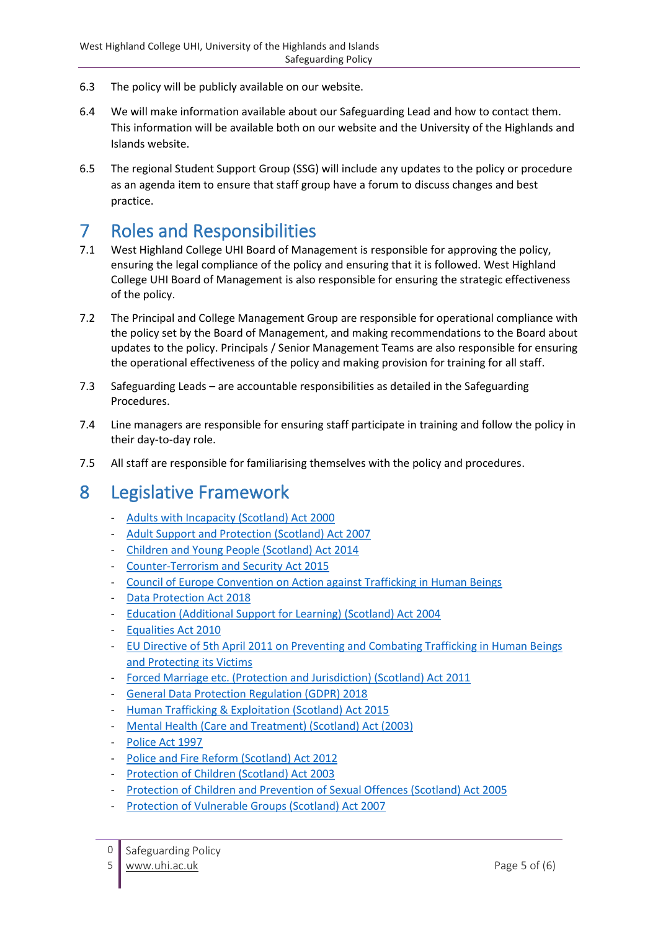- 6.3 The policy will be publicly available on our website.
- 6.4 We will make information available about our Safeguarding Lead and how to contact them. This information will be available both on our website and the University of the Highlands and Islands website.
- 6.5 The regional Student Support Group (SSG) will include any updates to the policy or procedure as an agenda item to ensure that staff group have a forum to discuss changes and best practice.

#### 7 Roles and Responsibilities

- 7.1 West Highland College UHI Board of Management is responsible for approving the policy, ensuring the legal compliance of the policy and ensuring that it is followed. West Highland College UHI Board of Management is also responsible for ensuring the strategic effectiveness of the policy.
- 7.2 The Principal and College Management Group are responsible for operational compliance with the policy set by the Board of Management, and making recommendations to the Board about updates to the policy. Principals / Senior Management Teams are also responsible for ensuring the operational effectiveness of the policy and making provision for training for all staff.
- 7.3 Safeguarding Leads are accountable responsibilities as detailed in the Safeguarding Procedures.
- 7.4 Line managers are responsible for ensuring staff participate in training and follow the policy in their day-to-day role.
- 7.5 All staff are responsible for familiarising themselves with the policy and procedures.

# 8 Legislative Framework

- [Adults with Incapacity \(Scotland\) Act 2000](https://www.legislation.gov.uk/asp/2000/4/contents)
- [Adult Support and Protection \(Scotland\) Act 2007](https://www.legislation.gov.uk/asp/2007/10/contents)
- [Children and Young People \(Scotland\) Act 2014](http://www.legislation.gov.uk/asp/2014/8/contents/enacted)
- [Counter-Terrorism and Security Act 2015](http://www.legislation.gov.uk/ukpga/2015/6/contents/enacted)
- [Council of Europe Convention on Action against Trafficking in Human Beings](https://rm.coe.int/168008371d)
- [Data Protection Act 2018](http://www.legislation.gov.uk/ukpga/2018/12/contents/enacted)
- [Education \(Additional Support for Learning\) \(Scotland\) Act 2004](https://www.legislation.gov.uk/asp/2004/4/contents)
- [Equalities Act](https://www.legislation.gov.uk/ukpga/2010/15/contents) 2010
- [EU Directive of 5th April 2011 on Preventing and Combating Trafficking in Human Beings](https://eur-lex.europa.eu/legal-content/EN/TXT/PDF/?uri=CELEX:32011L0036&from=EN)  [and Protecting its Victims](https://eur-lex.europa.eu/legal-content/EN/TXT/PDF/?uri=CELEX:32011L0036&from=EN)
- Forced Marriage etc. [\(Protection and Jurisdiction\) \(Scotland\) Act 2011](http://www.legislation.gov.uk/asp/2011/15/part/1/crossheading/forced-marriage-protection-orders/enacted)
- [General Data Protection Regulation \(GDPR\) 2018](https://ec.europa.eu/commission/priorities/justice-and-fundamental-rights/data-protection/2018-reform-eu-data-protection-rules_en)
- [Human Trafficking & Exploitation \(Scotland\) Act 2015](http://www.legislation.gov.uk/asp/2015/12/contents/enacted)
- [Mental Health \(Care and Treatment\) \(Scotland\) Act \(2003\)](https://www.legislation.gov.uk/asp/2003/13/contents)
- [Police Act 1997](http://www.legislation.gov.uk/ukpga/1997/50/contents)
- [Police and Fire Reform \(Scotland\)](http://www.legislation.gov.uk/asp/2012/8/enacted) Act 2012
- [Protection of Children \(Scotland\) Act 2003](https://www.legislation.gov.uk/asp/2003/5/contents)
- [Protection of Children and Prevention of Sexual Offences \(Scotland\) Act 2005](https://www.legislation.gov.uk/asp/2005/9/contents)
- [Protection of Vulnerable Groups \(Scotland\) Act 2007](https://www.legislation.gov.uk/asp/2007/14/contents)